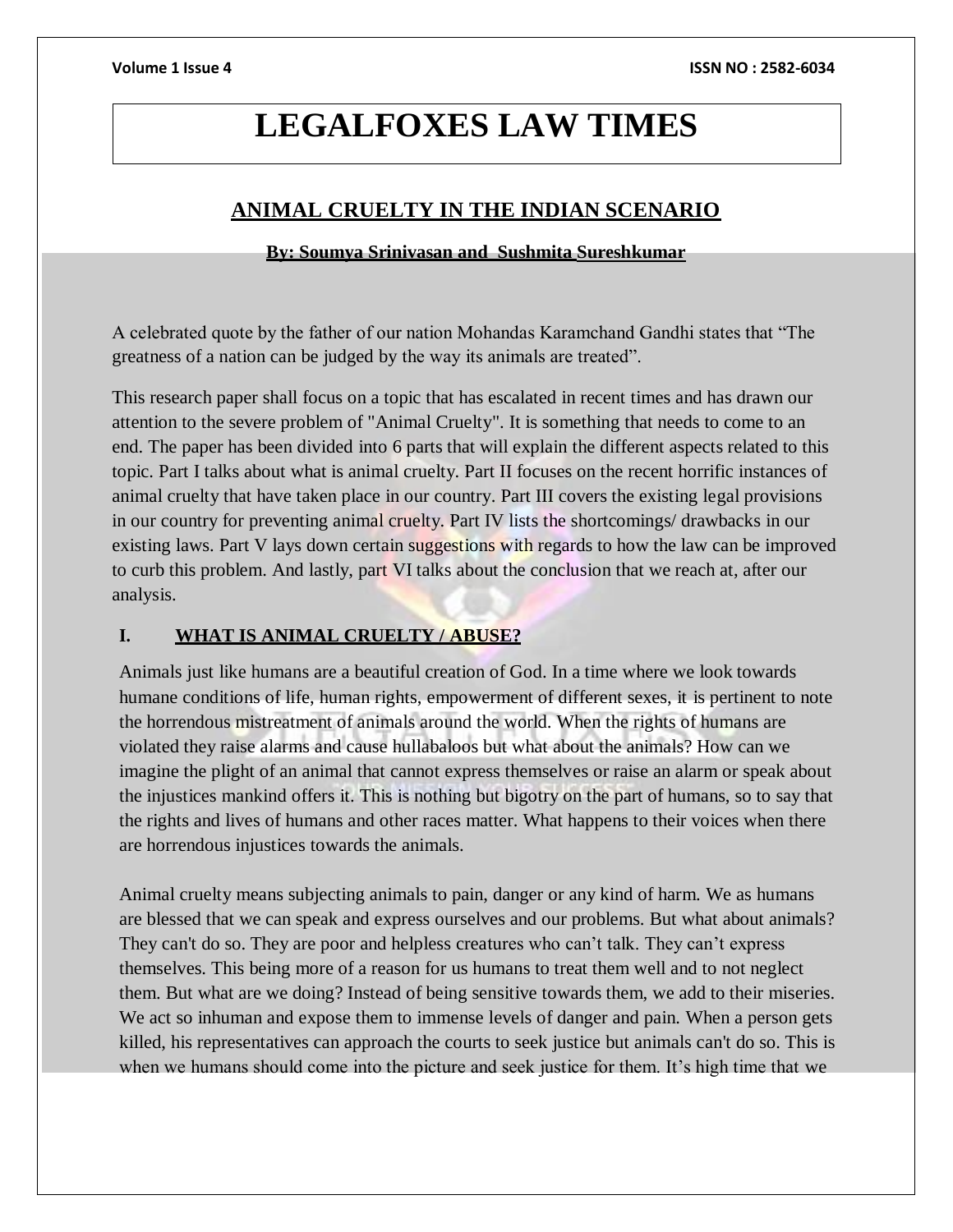## **LEGALFOXES LAW TIMES**

### **ANIMAL CRUELTY IN THE INDIAN SCENARIO**

#### **By: Soumya Srinivasan and Sushmita Sureshkumar**

A celebrated quote by the father of our nation Mohandas Karamchand Gandhi states that "The greatness of a nation can be judged by the way its animals are treated".

This research paper shall focus on a topic that has escalated in recent times and has drawn our attention to the severe problem of "Animal Cruelty". It is something that needs to come to an end. The paper has been divided into 6 parts that will explain the different aspects related to this topic. Part I talks about what is animal cruelty. Part II focuses on the recent horrific instances of animal cruelty that have taken place in our country. Part III covers the existing legal provisions in our country for preventing animal cruelty. Part IV lists the shortcomings/ drawbacks in our existing laws. Part V lays down certain suggestions with regards to how the law can be improved to curb this problem. And lastly, part VI talks about the conclusion that we reach at, after our analysis.

#### **I. WHAT IS ANIMAL CRUELTY / ABUSE?**

Animals just like humans are a beautiful creation of God. In a time where we look towards humane conditions of life, human rights, empowerment of different sexes, it is pertinent to note the horrendous mistreatment of animals around the world. When the rights of humans are violated they raise alarms and cause hullabaloos but what about the animals? How can we imagine the plight of an animal that cannot express themselves or raise an alarm or speak about the injustices mankind offers it. This is nothing but bigotry on the part of humans, so to say that the rights and lives of humans and other races matter. What happens to their voices when there are horrendous injustices towards the animals.

Animal cruelty means subjecting animals to pain, danger or any kind of harm. We as humans are blessed that we can speak and express ourselves and our problems. But what about animals? They can't do so. They are poor and helpless creatures who can't talk. They can't express themselves. This being more of a reason for us humans to treat them well and to not neglect them. But what are we doing? Instead of being sensitive towards them, we add to their miseries. We act so inhuman and expose them to immense levels of danger and pain. When a person gets killed, his representatives can approach the courts to seek justice but animals can't do so. This is when we humans should come into the picture and seek justice for them. It's high time that we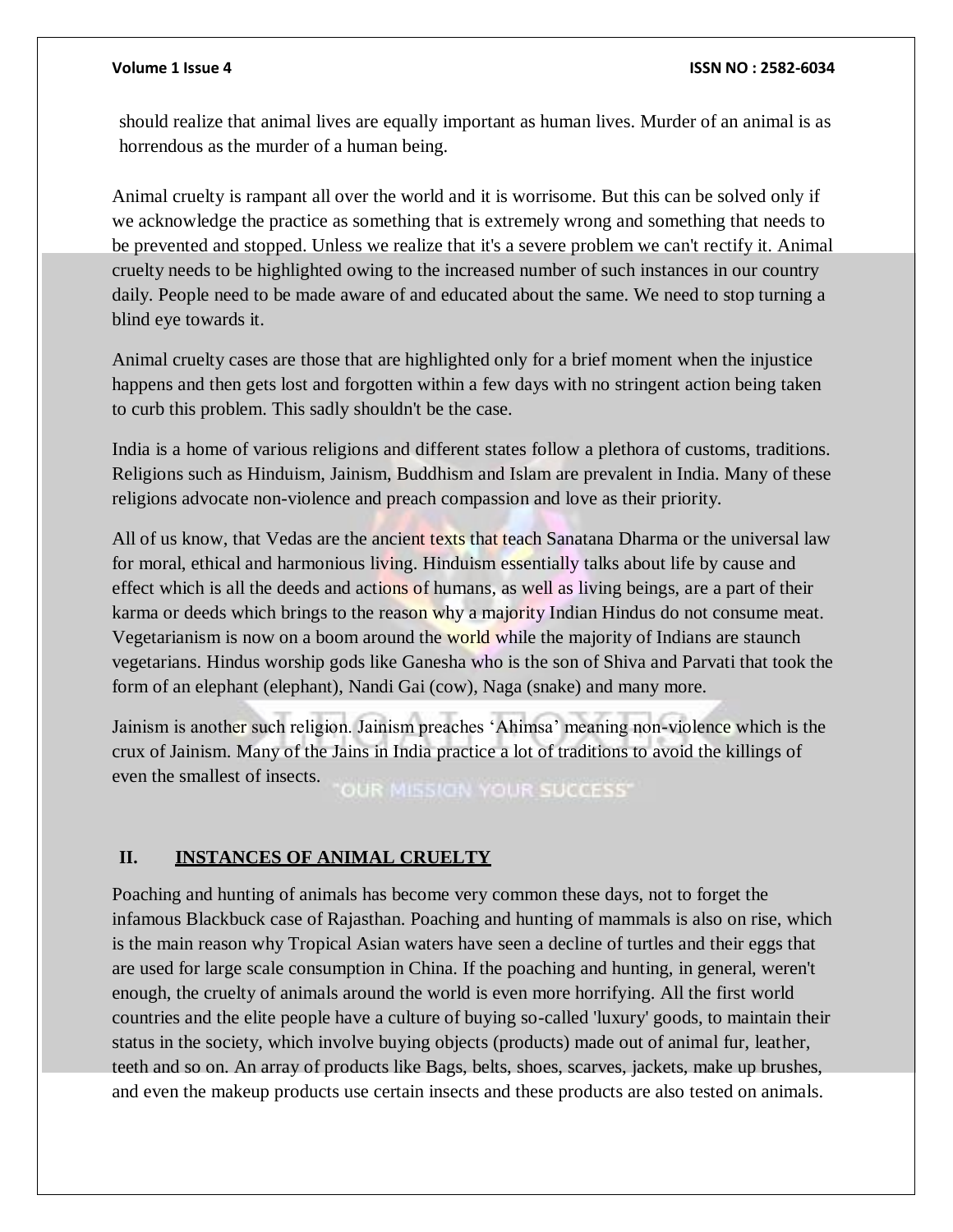should realize that animal lives are equally important as human lives. Murder of an animal is as horrendous as the murder of a human being.

Animal cruelty is rampant all over the world and it is worrisome. But this can be solved only if we acknowledge the practice as something that is extremely wrong and something that needs to be prevented and stopped. Unless we realize that it's a severe problem we can't rectify it. Animal cruelty needs to be highlighted owing to the increased number of such instances in our country daily. People need to be made aware of and educated about the same. We need to stop turning a blind eye towards it.

Animal cruelty cases are those that are highlighted only for a brief moment when the injustice happens and then gets lost and forgotten within a few days with no stringent action being taken to curb this problem. This sadly shouldn't be the case.

India is a home of various religions and different states follow a plethora of customs, traditions. Religions such as Hinduism, Jainism, Buddhism and Islam are prevalent in India. Many of these religions advocate non-violence and preach compassion and love as their priority.

All of us know, that Vedas are the ancient texts that teach Sanatana Dharma or the universal law for moral, ethical and harmonious living. Hinduism essentially talks about life by cause and effect which is all the deeds and actions of humans, as well as living beings, are a part of their karma or deeds which brings to the reason why a majority Indian Hindus do not consume meat. Vegetarianism is now on a boom around the world while the majority of Indians are staunch vegetarians. Hindus worship gods like Ganesha who is the son of Shiva and Parvati that took the form of an elephant (elephant), Nandi Gai (cow), Naga (snake) and many more.

Jainism is another such religion. Jainism preaches 'Ahimsa' meaning non-violence which is the crux of Jainism. Many of the Jains in India practice a lot of traditions to avoid the killings of even the smallest of insects. **OUR MISSION YOUR SUCCESS'** 

#### **II. INSTANCES OF ANIMAL CRUELTY**

Poaching and hunting of animals has become very common these days, not to forget the infamous Blackbuck case of Rajasthan. Poaching and hunting of mammals is also on rise, which is the main reason why Tropical Asian waters have seen a decline of turtles and their eggs that are used for large scale consumption in China. If the poaching and hunting, in general, weren't enough, the cruelty of animals around the world is even more horrifying. All the first world countries and the elite people have a culture of buying so-called 'luxury' goods, to maintain their status in the society, which involve buying objects (products) made out of animal fur, leather, teeth and so on. An array of products like Bags, belts, shoes, scarves, jackets, make up brushes, and even the makeup products use certain insects and these products are also tested on animals.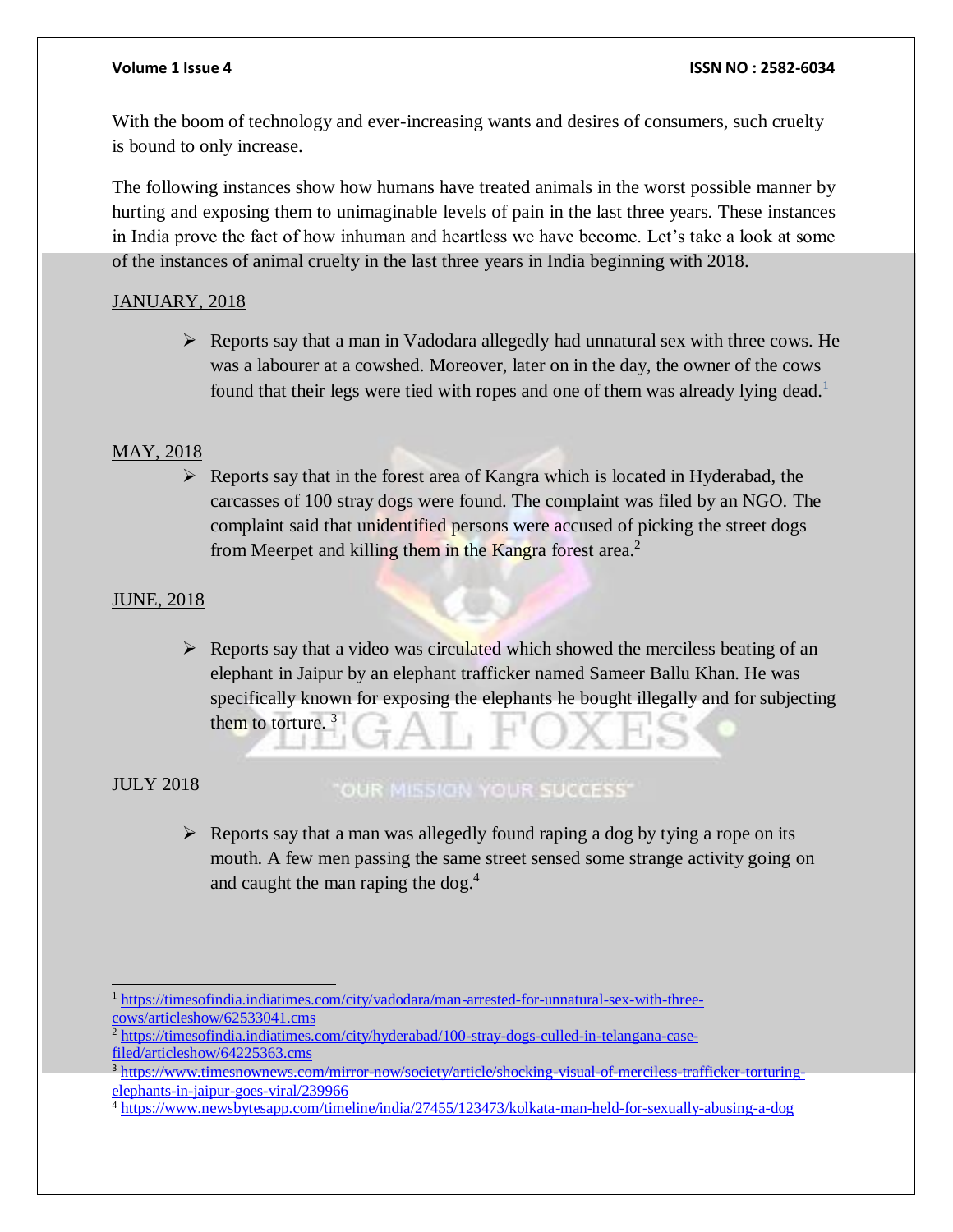With the boom of technology and ever-increasing wants and desires of consumers, such cruelty is bound to only increase.

The following instances show how humans have treated animals in the worst possible manner by hurting and exposing them to unimaginable levels of pain in the last three years. These instances in India prove the fact of how inhuman and heartless we have become. Let's take a look at some of the instances of animal cruelty in the last three years in India beginning with 2018.

#### JANUARY, 2018

 $\triangleright$  Reports say that a man in Vadodara allegedly had unnatural sex with three cows. He was a labourer at a cowshed. Moreover, later on in the day, the owner of the cows found that their legs were tied with ropes and one of them was already lying dead.<sup>1</sup>

#### MAY, 2018

 $\triangleright$  Reports say that in the forest area of Kangra which is located in Hyderabad, the carcasses of 100 stray dogs were found. The complaint was filed by an NGO. The complaint said that unidentified persons were accused of picking the street dogs from Meerpet and killing them in the Kangra forest area.<sup>2</sup>

#### JUNE, 2018

 $\triangleright$  Reports say that a video was circulated which showed the merciless beating of an elephant in Jaipur by an elephant trafficker named Sameer Ballu Khan. He was specifically known for exposing the elephants he bought illegally and for subjecting them to torture.  $3$ 

#### JULY 2018

### "OUR MISSION YOUR SUCCESS"

 $\triangleright$  Reports say that a man was allegedly found raping a dog by tying a rope on its mouth. A few men passing the same street sensed some strange activity going on and caught the man raping the dog. $4$ 

<sup>1</sup> [https://timesofindia.indiatimes.com/city/vadodara/man-arrested-for-unnatural-sex-with-three](https://timesofindia.indiatimes.com/city/vadodara/man-arrested-for-unnatural-sex-with-three-cows/articleshow/62533041.cms)[cows/articleshow/62533041.cms](https://timesofindia.indiatimes.com/city/vadodara/man-arrested-for-unnatural-sex-with-three-cows/articleshow/62533041.cms)

<sup>2</sup> [https://timesofindia.indiatimes.com/city/hyderabad/100-stray-dogs-culled-in-telangana-case](https://timesofindia.indiatimes.com/city/hyderabad/100-stray-dogs-culled-in-telangana-case-filed/articleshow/64225363.cms)[filed/articleshow/64225363.cms](https://timesofindia.indiatimes.com/city/hyderabad/100-stray-dogs-culled-in-telangana-case-filed/articleshow/64225363.cms)

<sup>3</sup> [https://www.timesnownews.com/mirror-now/society/article/shocking-visual-of-merciless-trafficker-torturing](https://www.timesnownews.com/mirror-now/society/article/shocking-visual-of-merciless-trafficker-torturing-elephants-in-jaipur-goes-viral/239966)[elephants-in-jaipur-goes-viral/239966](https://www.timesnownews.com/mirror-now/society/article/shocking-visual-of-merciless-trafficker-torturing-elephants-in-jaipur-goes-viral/239966)

<sup>4</sup> <https://www.newsbytesapp.com/timeline/india/27455/123473/kolkata-man-held-for-sexually-abusing-a-dog>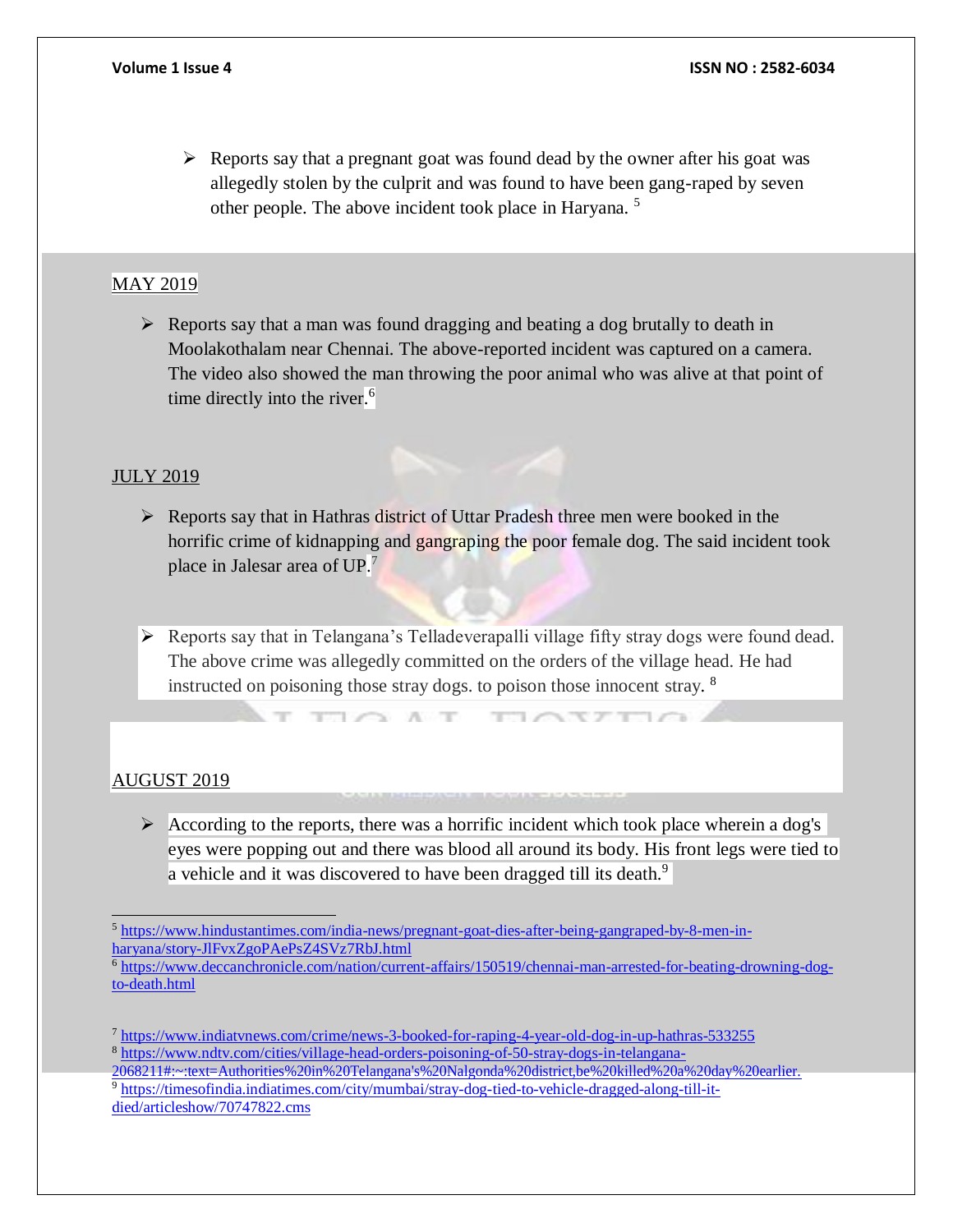$\triangleright$  Reports say that a pregnant goat was found dead by the owner after his goat was allegedly stolen by the culprit and was found to have been gang-raped by seven other people. The above incident took place in Haryana. <sup>5</sup>

### MAY 2019

 $\triangleright$  Reports say that a man was found dragging and beating a dog brutally to death in Moolakothalam near Chennai. The above-reported incident was captured on a camera. The video also showed the man throwing the poor animal who was alive at that point of time directly into the river. 6

### JULY 2019

- $\triangleright$  Reports say that in Hathras district of Uttar Pradesh three men were booked in the horrific crime of kidnapping and gangraping the poor female dog. The said incident took place in Jalesar area of UP.<sup>7</sup>
- Reports say that in Telangana's Telladeverapalli village fifty stray dogs were found dead. The above crime was allegedly committed on the orders of the village head. He had instructed on poisoning those stray dogs. to poison those innocent stray. <sup>8</sup>

 $\sim$ 

Company

### AUGUST 2019

 $\triangleright$  According to the reports, there was a horrific incident which took place wherein a dog's eyes were popping out and there was blood all around its body. His front legs were tied to a vehicle and it was discovered to have been dragged till its death.<sup>9</sup>

 $\sim$ 

<sup>5</sup> [https://www.hindustantimes.com/india-news/pregnant-goat-dies-after-being-gangraped-by-8-men-in](https://www.hindustantimes.com/india-news/pregnant-goat-dies-after-being-gangraped-by-8-men-in-haryana/story-JlFvxZgoPAePsZ4SVz7RbJ.html)[haryana/story-JlFvxZgoPAePsZ4SVz7RbJ.html](https://www.hindustantimes.com/india-news/pregnant-goat-dies-after-being-gangraped-by-8-men-in-haryana/story-JlFvxZgoPAePsZ4SVz7RbJ.html)

<sup>6</sup> [https://www.deccanchronicle.com/nation/current-affairs/150519/chennai-man-arrested-for-beating-drowning-dog](https://www.deccanchronicle.com/nation/current-affairs/150519/chennai-man-arrested-for-beating-drowning-dog-to-death.html)[to-death.html](https://www.deccanchronicle.com/nation/current-affairs/150519/chennai-man-arrested-for-beating-drowning-dog-to-death.html)

<sup>7</sup> <https://www.indiatvnews.com/crime/news-3-booked-for-raping-4-year-old-dog-in-up-hathras-533255> <sup>8</sup> [https://www.ndtv.com/cities/village-head-orders-poisoning-of-50-stray-dogs-in-telangana-](https://www.ndtv.com/cities/village-head-orders-poisoning-of-50-stray-dogs-in-telangana-2068211#%3A~%3Atext%3DAuthorities%20in%20Telangana%27s%20Nalgonda%20district%2Cbe%20killed%20a%20day%20earlier)

[<sup>2068211#:~:</sup>text=Authorities%20in%20Telangana's%20Nalgonda%20district,be%20killed%20a%20day%20earlier.](https://www.ndtv.com/cities/village-head-orders-poisoning-of-50-stray-dogs-in-telangana-2068211#%3A~%3Atext%3DAuthorities%20in%20Telangana%27s%20Nalgonda%20district%2Cbe%20killed%20a%20day%20earlier)  <sup>9</sup> [https://timesofindia.indiatimes.com/city/mumbai/stray-dog-tied-to-vehicle-dragged-along-till-it-](https://timesofindia.indiatimes.com/city/mumbai/stray-dog-tied-to-vehicle-dragged-along-till-it-died/articleshow/70747822.cms)

[died/articleshow/70747822.cms](https://timesofindia.indiatimes.com/city/mumbai/stray-dog-tied-to-vehicle-dragged-along-till-it-died/articleshow/70747822.cms)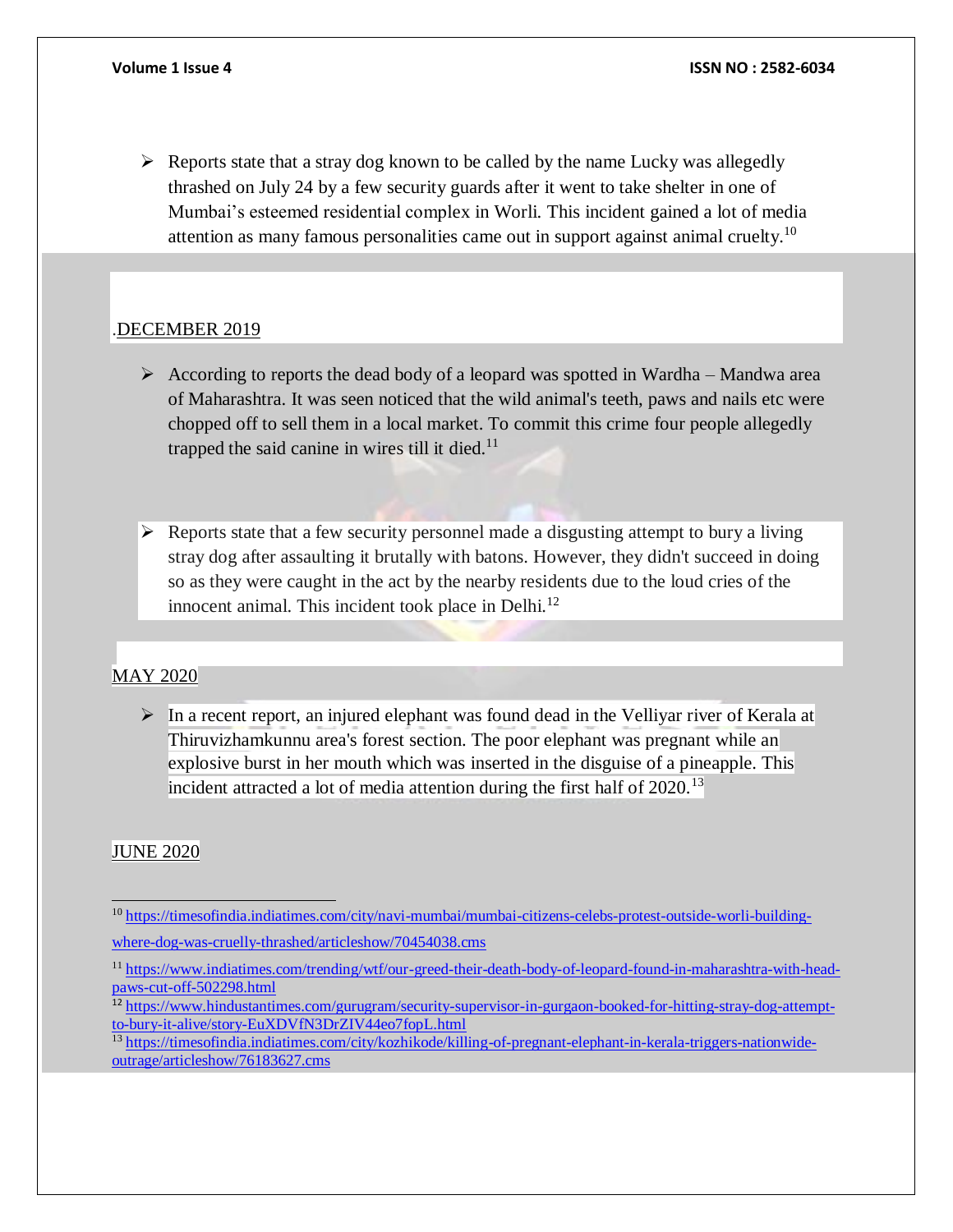$\triangleright$  Reports state that a stray dog known to be called by the name Lucky was allegedly thrashed on July 24 by a few security guards after it went to take shelter in one of Mumbai's esteemed residential complex in Worli. This incident gained a lot of media attention as many famous personalities came out in support against animal cruelty.<sup>10</sup>

#### .DECEMBER 2019

- According to reports the dead body of a leopard was spotted in Wardha Mandwa area of Maharashtra. It was seen noticed that the wild animal's teeth, paws and nails etc were chopped off to sell them in a local market. To commit this crime four people allegedly trapped the said canine in wires till it died. $11$
- $\triangleright$  Reports state that a few security personnel made a disgusting attempt to bury a living stray dog after assaulting it brutally with batons. However, they didn't succeed in doing so as they were caught in the act by the nearby residents due to the loud cries of the innocent animal. This incident took place in Delhi.<sup>12</sup>

#### MAY 2020

 $\triangleright$  In a recent report, an injured elephant was found dead in the Velliyar river of Kerala at explosive burst in her mouth which was inserted in the disguise of a pineapple. This incident attracted a lot of media attention during the first half of 2020.<sup>13</sup> Thiruvizhamkunnu area's forest section. The poor elephant was pregnant while an

#### JUNE 2020

<sup>10</sup> [https://timesofindia.indiatimes.com/city/navi-mumbai/mumbai-citizens-celebs-protest-outside-worli-building](https://timesofindia.indiatimes.com/city/navi-mumbai/mumbai-citizens-celebs-protest-outside-worli-building-where-dog-was-cruelly-thrashed/articleshow/70454038.cms)[where-dog-was-cruelly-thrashed/articleshow/70454038.cms](https://timesofindia.indiatimes.com/city/navi-mumbai/mumbai-citizens-celebs-protest-outside-worli-building-where-dog-was-cruelly-thrashed/articleshow/70454038.cms)

<sup>11</sup> [https://www.indiatimes.com/trending/wtf/our-greed-their-death-body-of-leopard-found-in-maharashtra-with-head](https://www.indiatimes.com/trending/wtf/our-greed-their-death-body-of-leopard-found-in-maharashtra-with-head-paws-cut-off-502298.html)[paws-cut-off-502298.html](https://www.indiatimes.com/trending/wtf/our-greed-their-death-body-of-leopard-found-in-maharashtra-with-head-paws-cut-off-502298.html)

<sup>&</sup>lt;sup>12</sup> [https://www.hindustantimes.com/gurugram/security-supervisor-in-gurgaon-booked-for-hitting-stray-dog-attempt](https://www.hindustantimes.com/gurugram/security-supervisor-in-gurgaon-booked-for-hitting-stray-dog-attempt-to-bury-it-alive/story-EuXDVfN3DrZIV44eo7fopL.html)[to-bury-it-alive/story-EuXDVfN3DrZIV44eo7fopL.html](https://www.hindustantimes.com/gurugram/security-supervisor-in-gurgaon-booked-for-hitting-stray-dog-attempt-to-bury-it-alive/story-EuXDVfN3DrZIV44eo7fopL.html)

<sup>&</sup>lt;sup>13</sup> [https://timesofindia.indiatimes.com/city/kozhikode/killing-of-pregnant-elephant-in-kerala-triggers-nationwide](https://timesofindia.indiatimes.com/city/kozhikode/killing-of-pregnant-elephant-in-kerala-triggers-nationwide-outrage/articleshow/76183627.cms)[outrage/articleshow/76183627.cms](https://timesofindia.indiatimes.com/city/kozhikode/killing-of-pregnant-elephant-in-kerala-triggers-nationwide-outrage/articleshow/76183627.cms)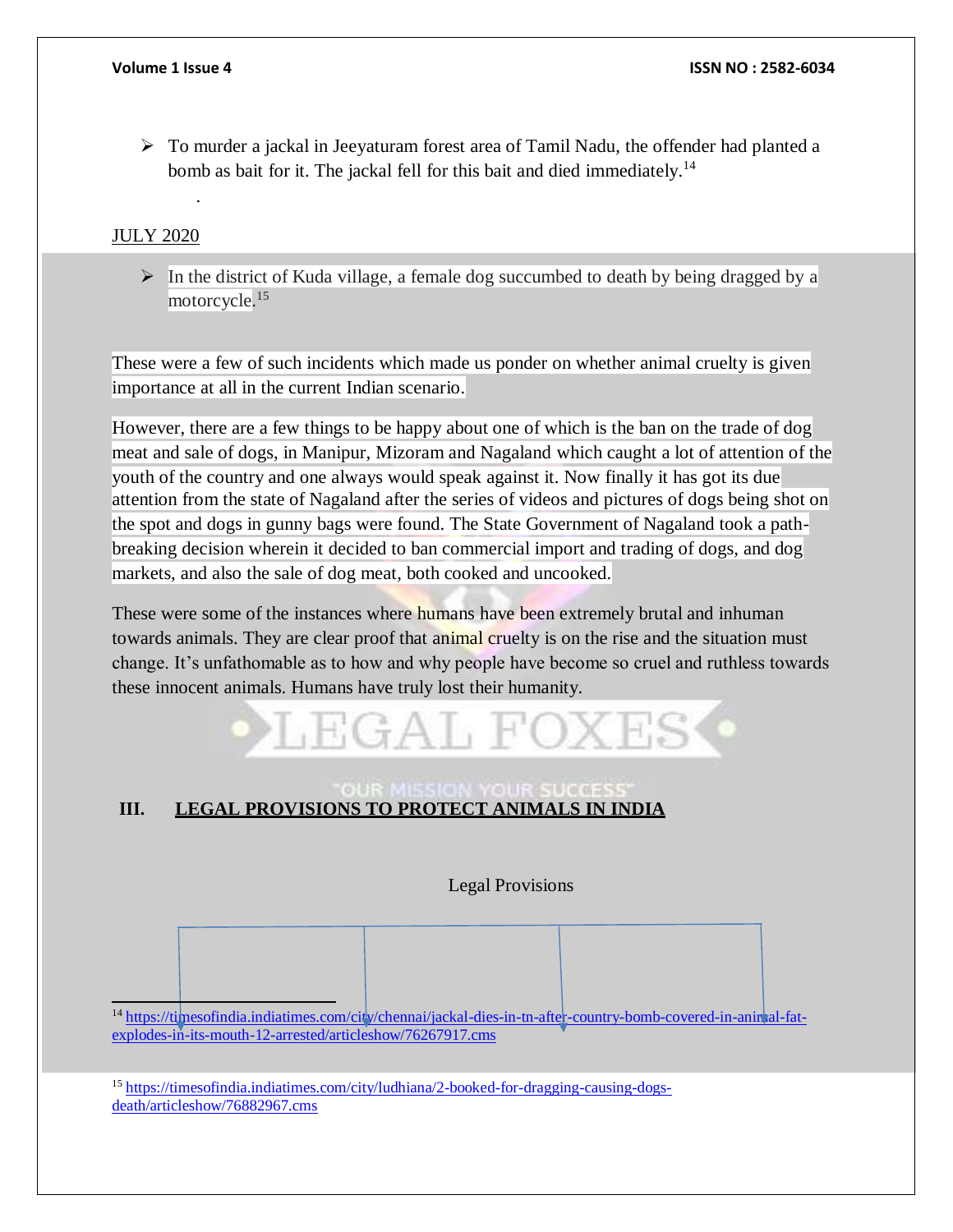$\triangleright$  To murder a jackal in Jeeyaturam forest area of Tamil Nadu, the offender had planted a bomb as bait for it. The jackal fell for this bait and died immediately.<sup>14</sup>

### JULY 2020

.

 $\triangleright$  In the district of Kuda village, a female dog succumbed to death by being dragged by a motorcycle. 15

These were a few of such incidents which made us ponder on whether animal cruelty is given importance at all in the current Indian scenario.

However, there are a few things to be happy about one of which is the ban on the trade of dog meat and sale of dogs, in Manipur, Mizoram and Nagaland which caught a lot of attention of the attention from the state of Nagaland after the series of videos and pictures of dogs being shot on the spot and dogs in gunny bags were found. The State Government of Nagaland took a pathbreaking decision wherein it decided to ban commercial import and trading of dogs, and dog markets, and also the sale of dog meat, both cooked and uncooked. youth of the country and one always would speak against it. Now finally it has got its due

These were some of the instances where humans have been extremely brutal and inhuman towards animals. They are clear proof that animal cruelty is on the rise and the situation must change. It's unfathomable as to how and why people have become so cruel and ruthless towards these innocent animals. Humans have truly lost their humanity.

# **III. LEGAL PROVISIONS TO PROTECT ANIMALS IN INDIA**

 $H(GA), H(O)$ 

Legal Provisions

<sup>14</sup> [https://timesofindia.indiatimes.com/city/chennai/jackal-dies-in-tn-after-country-bomb-covered-in-animal-fat](https://timesofindia.indiatimes.com/city/chennai/jackal-dies-in-tn-after-country-bomb-covered-in-animal-fat-explodes-in-its-mouth-12-arrested/articleshow/76267917.cms)[explodes-in-its-mouth-12-arrested/articleshow/76267917.cms](https://timesofindia.indiatimes.com/city/chennai/jackal-dies-in-tn-after-country-bomb-covered-in-animal-fat-explodes-in-its-mouth-12-arrested/articleshow/76267917.cms)

<sup>15</sup> [https://timesofindia.indiatimes.com/city/ludhiana/2-booked-for-dragging-causing-dogs](https://timesofindia.indiatimes.com/city/ludhiana/2-booked-for-dragging-causing-dogs-death/articleshow/76882967.cms)[death/articleshow/76882967.cms](https://timesofindia.indiatimes.com/city/ludhiana/2-booked-for-dragging-causing-dogs-death/articleshow/76882967.cms)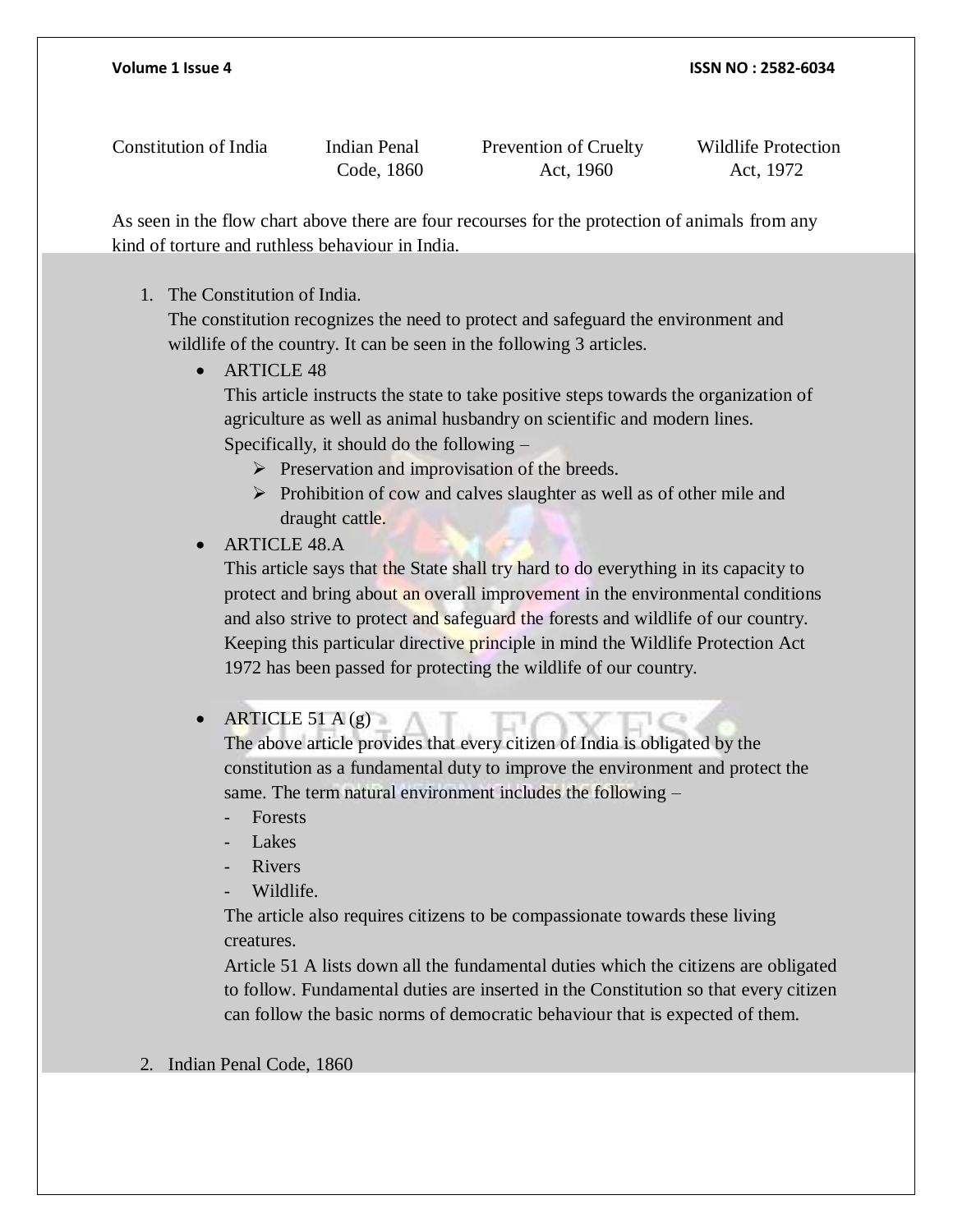Constitution of India Indian Penal Prevention of Cruelty Wildlife Protection

Code, 1860 Act, 1960 Act, 1972

As seen in the flow chart above there are four recourses for the protection of animals from any kind of torture and ruthless behaviour in India.

#### 1. The Constitution of India.

The constitution recognizes the need to protect and safeguard the environment and wildlife of the country. It can be seen in the following 3 articles.

• ARTICLE 48

This article instructs the state to take positive steps towards the organization of agriculture as well as animal husbandry on scientific and modern lines. Specifically, it should do the following –

- $\triangleright$  Preservation and improvisation of the breeds.
- $\triangleright$  Prohibition of cow and calves slaughter as well as of other mile and draught cattle.

### ARTICLE 48.A

This article says that the State shall try hard to do everything in its capacity to protect and bring about an overall improvement in the environmental conditions and also strive to protect and safeguard the forests and wildlife of our country. Keeping this particular directive principle in mind the Wildlife Protection Act 1972 has been passed for protecting the wildlife of our country.

### • ARTICLE 51 A  $(g)$

The above article provides that every citizen of India is obligated by the constitution as a fundamental duty to improve the environment and protect the same. The term natural environment includes the following –

- Forests
- Lakes
- **Rivers**
- Wildlife.

The article also requires citizens to be compassionate towards these living creatures.

Article 51 A lists down all the fundamental duties which the citizens are obligated to follow. Fundamental duties are inserted in the Constitution so that every citizen can follow the basic norms of democratic behaviour that is expected of them.

#### 2. Indian Penal Code, 1860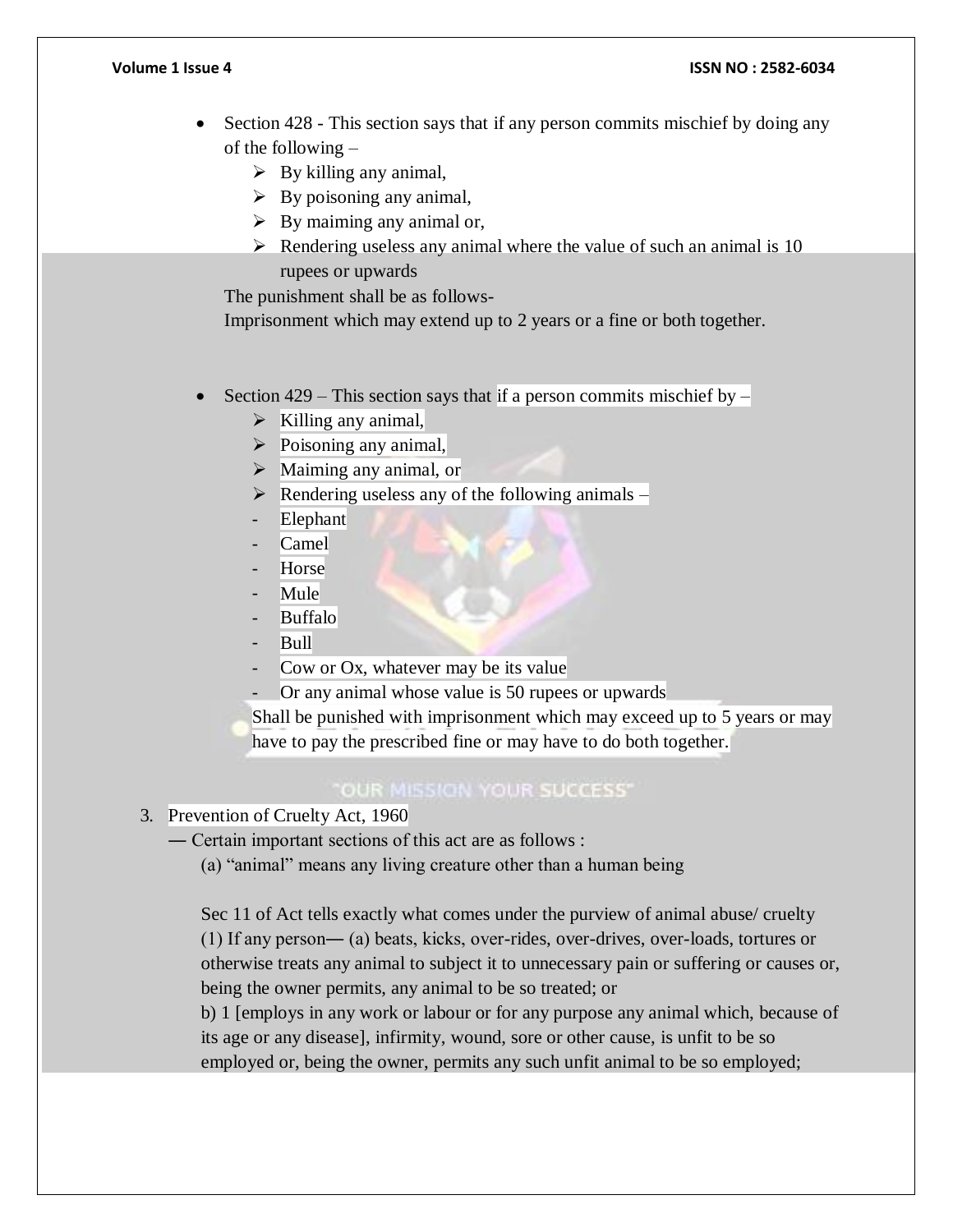- Section 428 This section says that if any person commits mischief by doing any of the following –
	- $\triangleright$  By killing any animal,
	- $\triangleright$  By poisoning any animal,
	- $\triangleright$  By maiming any animal or,
	- $\triangleright$  Rendering useless any animal where the value of such an animal is 10 rupees or upwards

The punishment shall be as follows-

Imprisonment which may extend up to 2 years or a fine or both together.

- Section 429 This section says that if a person commits mischief by
	- $\triangleright$  Killing any animal,
	- $\triangleright$  Poisoning any animal,
	- $\triangleright$  Maiming any animal, or
	- $\triangleright$  Rendering useless any of the following animals –
	- **Elephant**
	- Camel<sup>1</sup>
	- **Horse**
	- Mule
	- **Buffalo**
	- Bull
	- Cow or Ox, whatever may be its value
	- Or any animal whose value is 50 rupees or upwards

Shall be punished with imprisonment which may exceed up to 5 years or may have to pay the prescribed fine or may have to do both together.

### "OUR MISSION YOUR SUCCESS"

3. Prevention of Cruelty Act, 1960

― Certain important sections of this act are as follows :

(a) "animal" means any living creature other than a human being

Sec 11 of Act tells exactly what comes under the purview of animal abuse/ cruelty (1) If any person― (a) beats, kicks, over-rides, over-drives, over-loads, tortures or otherwise treats any animal to subject it to unnecessary pain or suffering or causes or, being the owner permits, any animal to be so treated; or

b) 1 [employs in any work or labour or for any purpose any animal which, because of its age or any disease], infirmity, wound, sore or other cause, is unfit to be so employed or, being the owner, permits any such unfit animal to be so employed;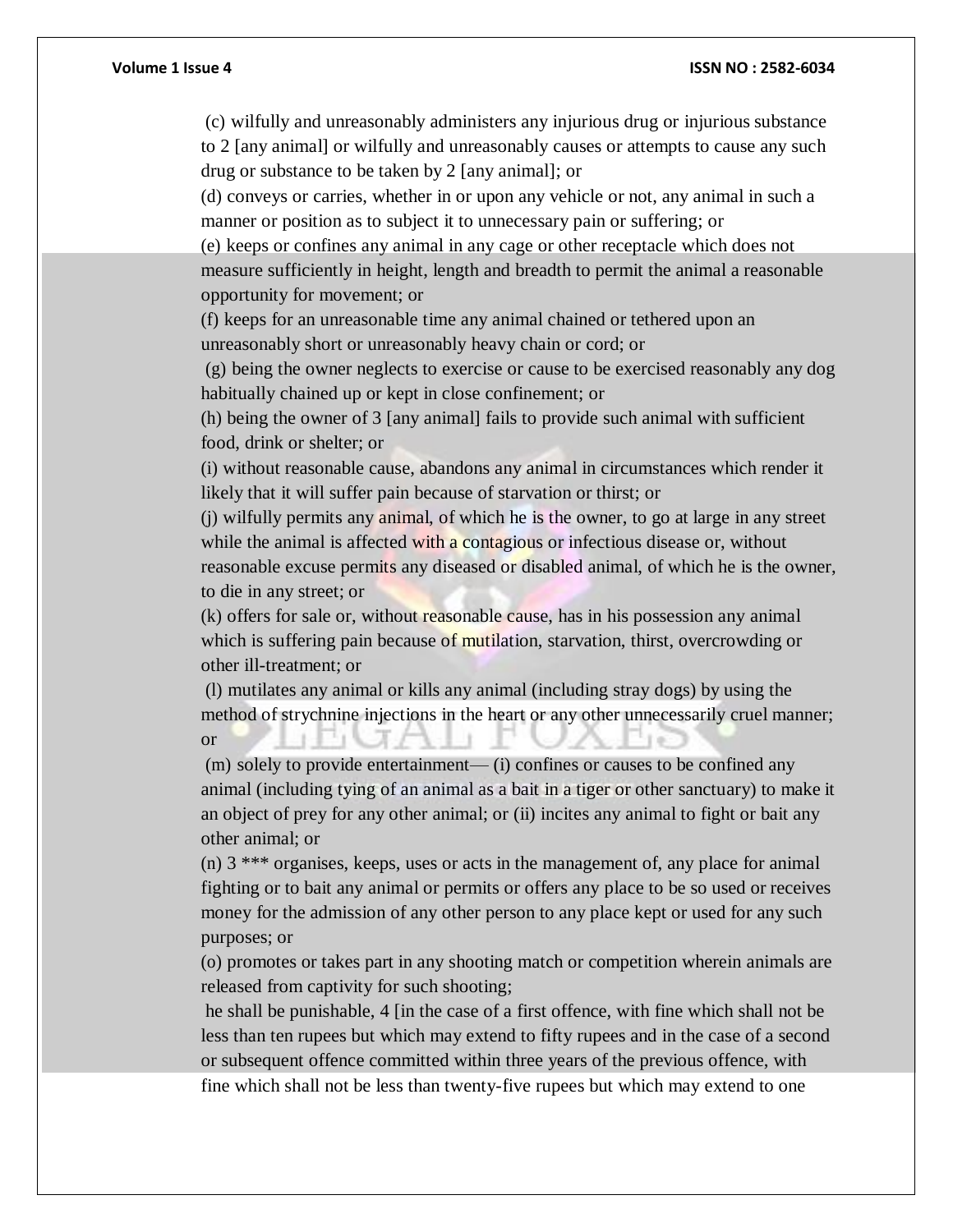(c) wilfully and unreasonably administers any injurious drug or injurious substance to 2 [any animal] or wilfully and unreasonably causes or attempts to cause any such drug or substance to be taken by 2 [any animal]; or

(d) conveys or carries, whether in or upon any vehicle or not, any animal in such a manner or position as to subject it to unnecessary pain or suffering; or

(e) keeps or confines any animal in any cage or other receptacle which does not measure sufficiently in height, length and breadth to permit the animal a reasonable opportunity for movement; or

(f) keeps for an unreasonable time any animal chained or tethered upon an unreasonably short or unreasonably heavy chain or cord; or

(g) being the owner neglects to exercise or cause to be exercised reasonably any dog habitually chained up or kept in close confinement; or

(h) being the owner of 3 [any animal] fails to provide such animal with sufficient food, drink or shelter; or

(i) without reasonable cause, abandons any animal in circumstances which render it likely that it will suffer pain because of starvation or thirst; or

(j) wilfully permits any animal, of which he is the owner, to go at large in any street while the animal is affected with a contagious or infectious disease or, without reasonable excuse permits any diseased or disabled animal, of which he is the owner, to die in any street; or

(k) offers for sale or, without reasonable cause, has in his possession any animal which is suffering pain because of mutilation, starvation, thirst, overcrowding or other ill-treatment; or

(l) mutilates any animal or kills any animal (including stray dogs) by using the method of strychnine injections in the heart or any other unnecessarily cruel manner; or

(m) solely to provide entertainment— (i) confines or causes to be confined any animal (including tying of an animal as a bait in a tiger or other sanctuary) to make it an object of prey for any other animal; or (ii) incites any animal to fight or bait any other animal; or

(n) 3 \*\*\* organises, keeps, uses or acts in the management of, any place for animal fighting or to bait any animal or permits or offers any place to be so used or receives money for the admission of any other person to any place kept or used for any such purposes; or

(o) promotes or takes part in any shooting match or competition wherein animals are released from captivity for such shooting;

he shall be punishable, 4 [in the case of a first offence, with fine which shall not be less than ten rupees but which may extend to fifty rupees and in the case of a second or subsequent offence committed within three years of the previous offence, with fine which shall not be less than twenty-five rupees but which may extend to one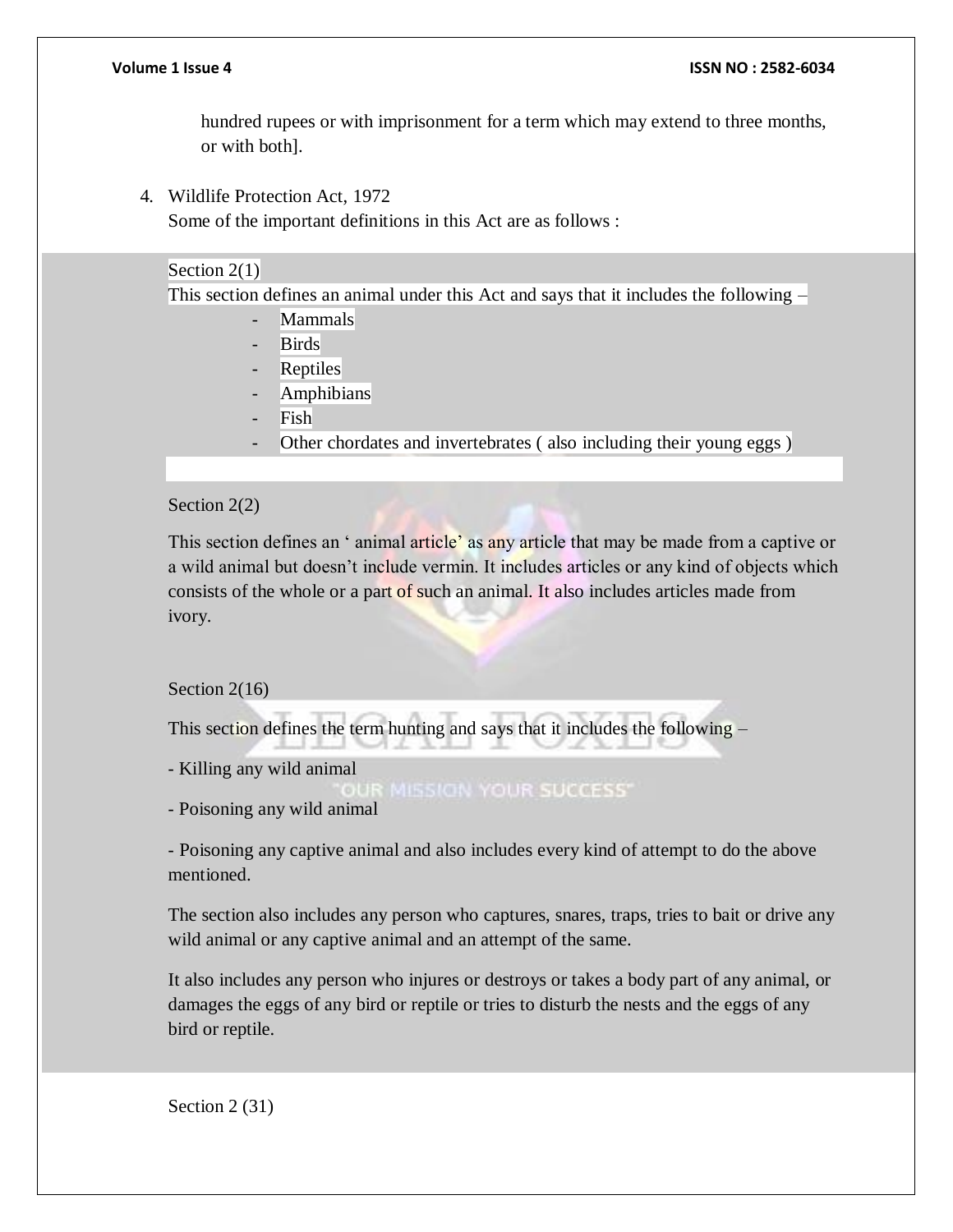hundred rupees or with imprisonment for a term which may extend to three months, or with both].

4. Wildlife Protection Act, 1972

Some of the important definitions in this Act are as follows :

#### Section 2(1)

This section defines an animal under this Act and says that it includes the following –

- Mammals
- Birds
- **Reptiles**
- **Amphibians**
- Fish
- Other chordates and invertebrates (also including their young eggs)

#### Section 2(2)

This section defines an 'animal article' as any article that may be made from a captive or a wild animal but doesn't include vermin. It includes articles or any kind of objects which consists of the whole or a part of such an animal. It also includes articles made from ivory.

#### Section 2(16)

This section defines the term hunting and says that it includes the following –

- Killing any wild animal

**IR MISSION YOUR SUCCESS'** 

- Poisoning any wild animal

- Poisoning any captive animal and also includes every kind of attempt to do the above mentioned.

The section also includes any person who captures, snares, traps, tries to bait or drive any wild animal or any captive animal and an attempt of the same.

It also includes any person who injures or destroys or takes a body part of any animal, or damages the eggs of any bird or reptile or tries to disturb the nests and the eggs of any bird or reptile.

Section 2 (31)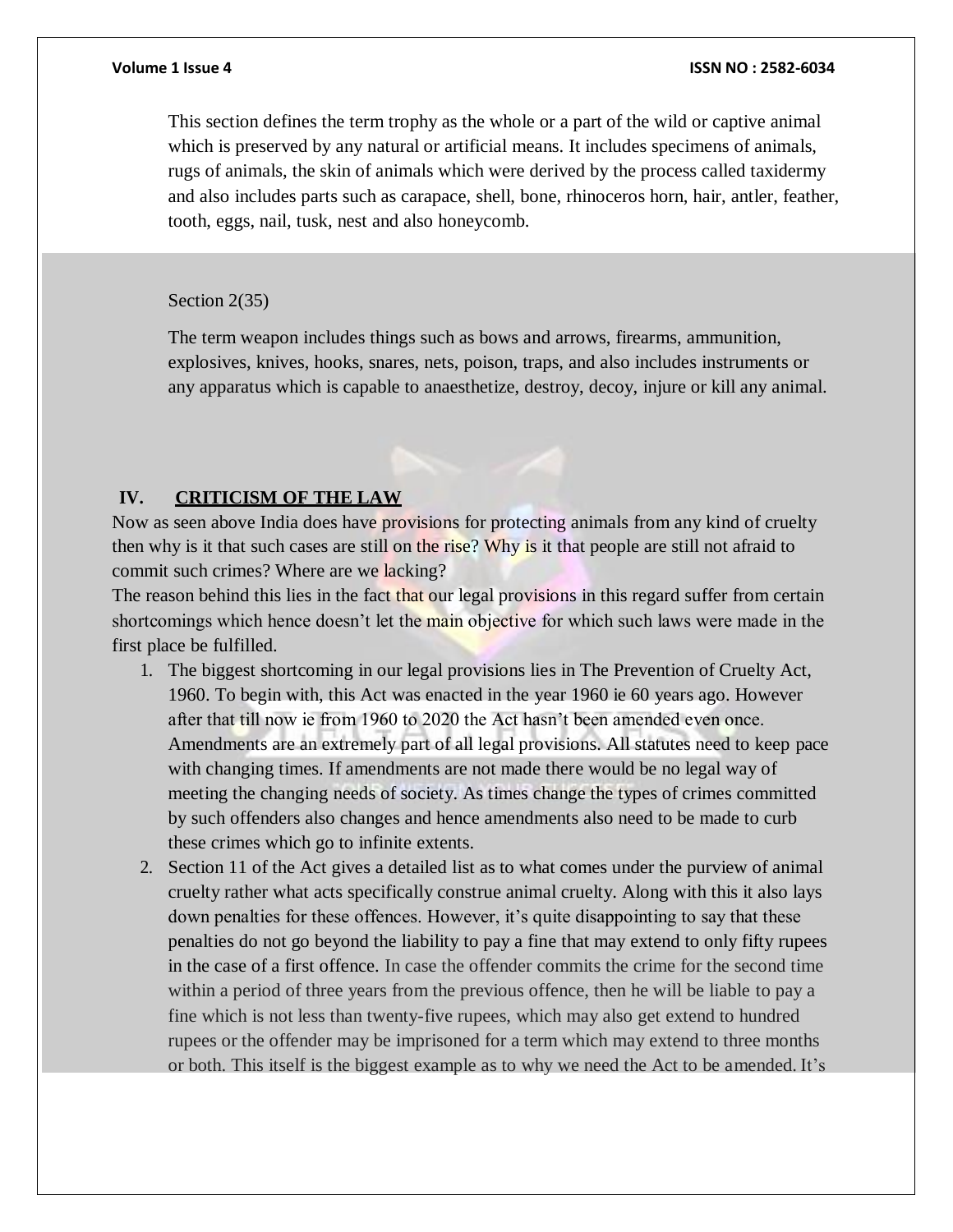This section defines the term trophy as the whole or a part of the wild or captive animal which is preserved by any natural or artificial means. It includes specimens of animals, rugs of animals, the skin of animals which were derived by the process called taxidermy and also includes parts such as carapace, shell, bone, rhinoceros horn, hair, antler, feather, tooth, eggs, nail, tusk, nest and also honeycomb.

#### Section 2(35)

The term weapon includes things such as bows and arrows, firearms, ammunition, explosives, knives, hooks, snares, nets, poison, traps, and also includes instruments or any apparatus which is capable to anaesthetize, destroy, decoy, injure or kill any animal.

#### **IV. CRITICISM OF THE LAW**

Now as seen above India does have provisions for protecting animals from any kind of cruelty then why is it that such cases are still on the rise? Why is it that people are still not afraid to commit such crimes? Where are we lacking?

The reason behind this lies in the fact that our legal provisions in this regard suffer from certain shortcomings which hence doesn't let the main objective for which such laws were made in the first place be fulfilled.

- 1. The biggest shortcoming in our legal provisions lies in The Prevention of Cruelty Act, 1960. To begin with, this Act was enacted in the year 1960 ie 60 years ago. However after that till now ie from 1960 to 2020 the Act hasn't been amended even once. Amendments are an extremely part of all legal provisions. All statutes need to keep pace with changing times. If amendments are not made there would be no legal way of meeting the changing needs of society. As times change the types of crimes committed by such offenders also changes and hence amendments also need to be made to curb these crimes which go to infinite extents.
- 2. Section 11 of the Act gives a detailed list as to what comes under the purview of animal cruelty rather what acts specifically construe animal cruelty. Along with this it also lays down penalties for these offences. However, it's quite disappointing to say that these penalties do not go beyond the liability to pay a fine that may extend to only fifty rupees in the case of a first offence. In case the offender commits the crime for the second time within a period of three years from the previous offence, then he will be liable to pay a fine which is not less than twenty-five rupees, which may also get extend to hundred rupees or the offender may be imprisoned for a term which may extend to three months or both. This itself is the biggest example as to why we need the Act to be amended. It's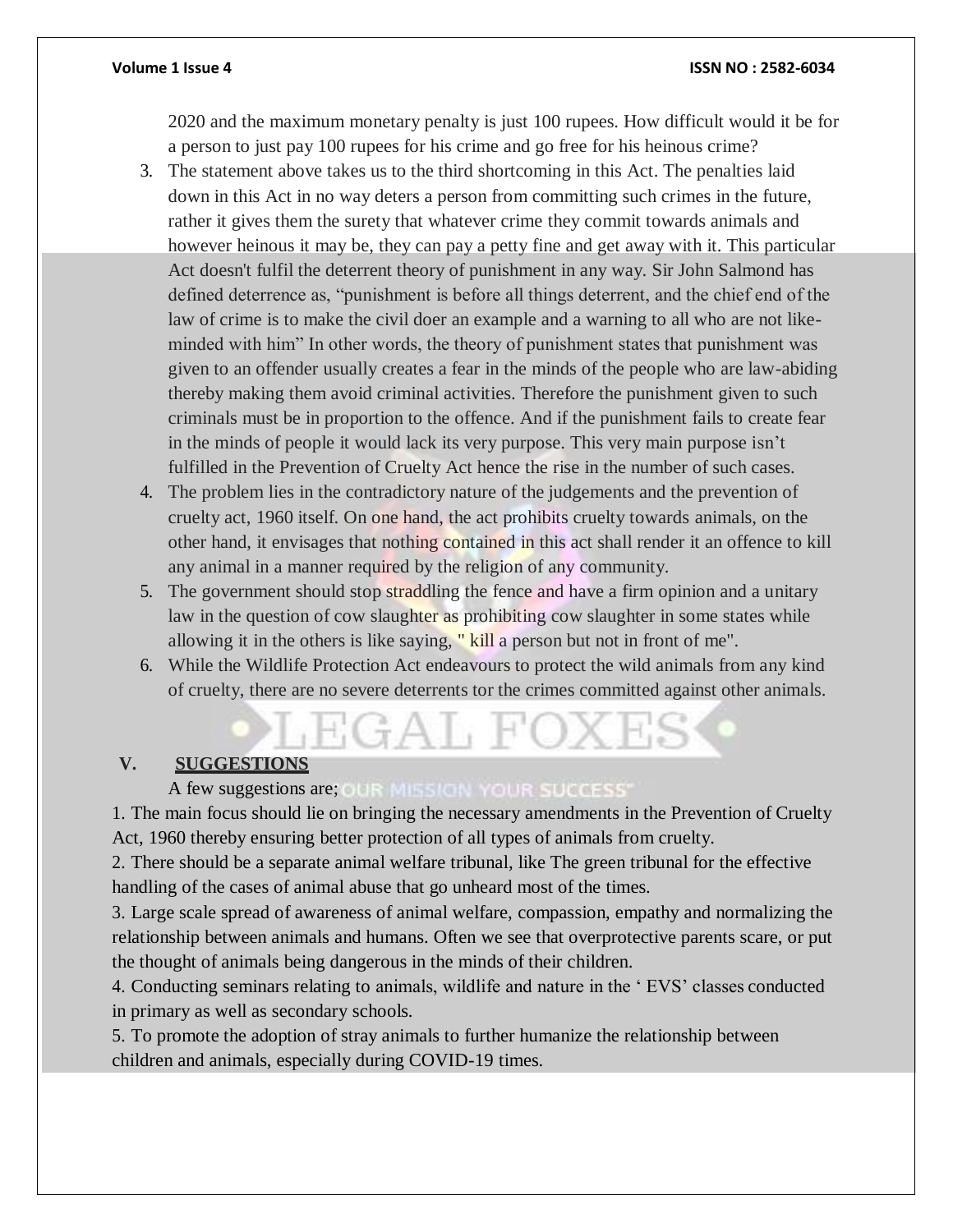2020 and the maximum monetary penalty is just 100 rupees. How difficult would it be for a person to just pay 100 rupees for his crime and go free for his heinous crime?

- 3. The statement above takes us to the third shortcoming in this Act. The penalties laid down in this Act in no way deters a person from committing such crimes in the future, rather it gives them the surety that whatever crime they commit towards animals and however heinous it may be, they can pay a petty fine and get away with it. This particular Act doesn't fulfil the deterrent theory of punishment in any way. Sir John Salmond has defined deterrence as, "punishment is before all things deterrent, and the chief end of the law of crime is to make the civil doer an example and a warning to all who are not likeminded with him" In other words, the theory of punishment states that punishment was given to an offender usually creates a fear in the minds of the people who are law-abiding thereby making them avoid criminal activities. Therefore the punishment given to such criminals must be in proportion to the offence. And if the punishment fails to create fear in the minds of people it would lack its very purpose. This very main purpose isn't fulfilled in the Prevention of Cruelty Act hence the rise in the number of such cases.
- 4. The problem lies in the contradictory nature of the judgements and the prevention of cruelty act, 1960 itself. On one hand, the act prohibits cruelty towards animals, on the other hand, it envisages that nothing contained in this act shall render it an offence to kill any animal in a manner required by the religion of any community.
- 5. The government should stop straddling the fence and have a firm opinion and a unitary law in the question of cow slaughter as prohibiting cow slaughter in some states while allowing it in the others is like saying, "kill a person but not in front of me".
- 6. While the Wildlife Protection Act endeavours to protect the wild animals from any kind of cruelty, there are no severe deterrents tor the crimes committed against other animals.

#### **V. SUGGESTIONS**

### A few suggestions are; CUR MISSION YOUR SUCCESS

1. The main focus should lie on bringing the necessary amendments in the Prevention of Cruelty Act, 1960 thereby ensuring better protection of all types of animals from cruelty.

2. There should be a separate animal welfare tribunal, like The green tribunal for the effective handling of the cases of animal abuse that go unheard most of the times.

3. Large scale spread of awareness of animal welfare, compassion, empathy and normalizing the relationship between animals and humans. Often we see that overprotective parents scare, or put the thought of animals being dangerous in the minds of their children.

4. Conducting seminars relating to animals, wildlife and nature in the ' EVS' classes conducted in primary as well as secondary schools.

5. To promote the adoption of stray animals to further humanize the relationship between children and animals, especially during COVID-19 times.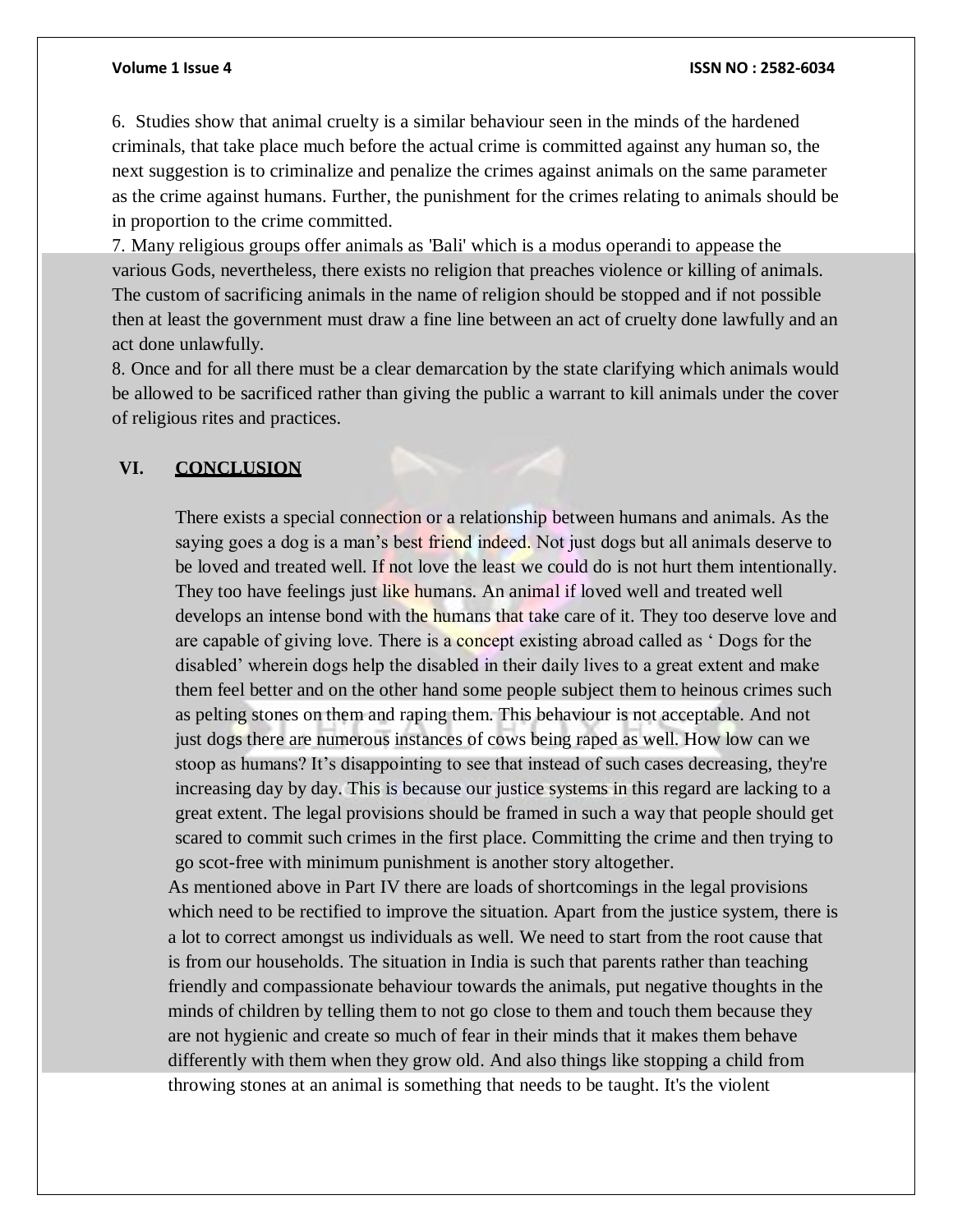6. Studies show that animal cruelty is a similar behaviour seen in the minds of the hardened criminals, that take place much before the actual crime is committed against any human so, the next suggestion is to criminalize and penalize the crimes against animals on the same parameter as the crime against humans. Further, the punishment for the crimes relating to animals should be in proportion to the crime committed.

7. Many religious groups offer animals as 'Bali' which is a modus operandi to appease the various Gods, nevertheless, there exists no religion that preaches violence or killing of animals. The custom of sacrificing animals in the name of religion should be stopped and if not possible then at least the government must draw a fine line between an act of cruelty done lawfully and an act done unlawfully.

8. Once and for all there must be a clear demarcation by the state clarifying which animals would be allowed to be sacrificed rather than giving the public a warrant to kill animals under the cover of religious rites and practices.

#### **VI. CONCLUSION**

There exists a special connection or a relationship between humans and animals. As the saying goes a dog is a man's best friend indeed. Not just dogs but all animals deserve to be loved and treated well. If not love the least we could do is not hurt them intentionally. They too have feelings just like humans. An animal if loved well and treated well develops an intense bond with the humans that take care of it. They too deserve love and are capable of giving love. There is a concept existing abroad called as ' Dogs for the disabled' wherein dogs help the disabled in their daily lives to a great extent and make them feel better and on the other hand some people subject them to heinous crimes such as pelting stones on them and raping them. This behaviour is not acceptable. And not just dogs there are numerous instances of cows being raped as well. How low can we stoop as humans? It's disappointing to see that instead of such cases decreasing, they're increasing day by day. This is because our justice systems in this regard are lacking to a great extent. The legal provisions should be framed in such a way that people should get scared to commit such crimes in the first place. Committing the crime and then trying to go scot-free with minimum punishment is another story altogether.

As mentioned above in Part IV there are loads of shortcomings in the legal provisions which need to be rectified to improve the situation. Apart from the justice system, there is a lot to correct amongst us individuals as well. We need to start from the root cause that is from our households. The situation in India is such that parents rather than teaching friendly and compassionate behaviour towards the animals, put negative thoughts in the minds of children by telling them to not go close to them and touch them because they are not hygienic and create so much of fear in their minds that it makes them behave differently with them when they grow old. And also things like stopping a child from throwing stones at an animal is something that needs to be taught. It's the violent